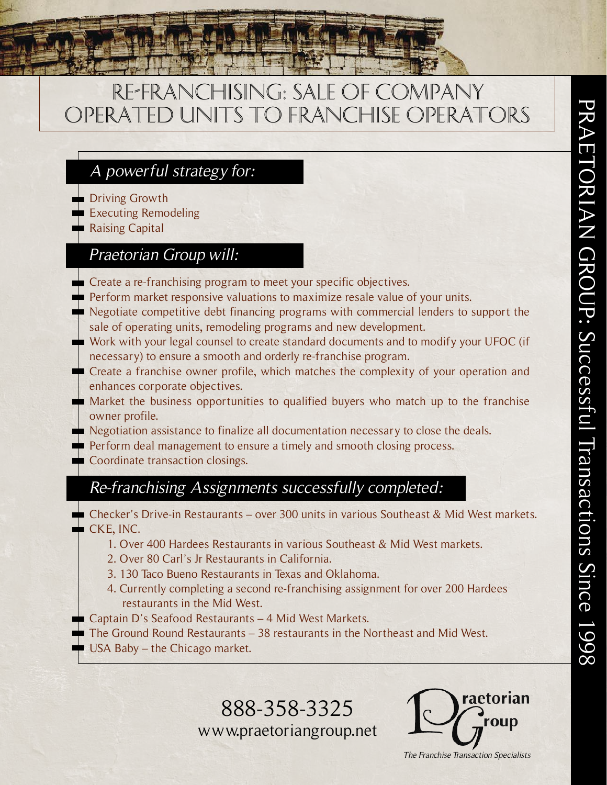# Re-Franchising: Sale of COMPANY OPERATED UNITS TO FRANCHISE OPERATORS

### A powerful strategy for:

- **Driving Growth**
- **Executing Remodeling**
- Raising Capital

### Praetorian Group will:

- Create a re-franchising program to meet your specific objectives.
- $\blacksquare$  Perform market responsive valuations to maximize resale value of your units.
- Negotiate competitive debt financing programs with commercial lenders to support the sale of operating units, remodeling programs and new development.
- Work with your legal counsel to create standard documents and to modify your UFOC (if necessary) to ensure a smooth and orderly re-franchise program.
- Create a franchise owner profile, which matches the complexity of your operation and enhances corporate objectives.
- Market the business opportunities to qualified buyers who match up to the franchise owner profile.

Negotiation assistance to finalize all documentation necessary to close the deals.

- Perform deal management to ensure a timely and smooth closing process.
- Coordinate transaction closings.

## Re-franchising Assignments successfully completed:

- Checker's Drive-in Restaurants over 300 units in various Southeast & Mid West markets.  $\blacksquare$  CKE, INC.
	- 1. Over 400 Hardees Restaurants in various Southeast & Mid West markets.
	- 2. Over 80 Carl's Jr Restaurants in California.
	- 3. 130 Taco Bueno Restaurants in Texas and Oklahoma.
	- 4. Currently completing a second re-franchising assignment for over 200 Hardees restaurants in the Mid West.
	- Captain D's Seafood Restaurants 4 Mid West Markets.
	- The Ground Round Restaurants 38 restaurants in the Northeast and Mid West.
	- USA Baby the Chicago market.

888-358-3325 www.praetoriangroup.net



The Franchise Transaction Specialists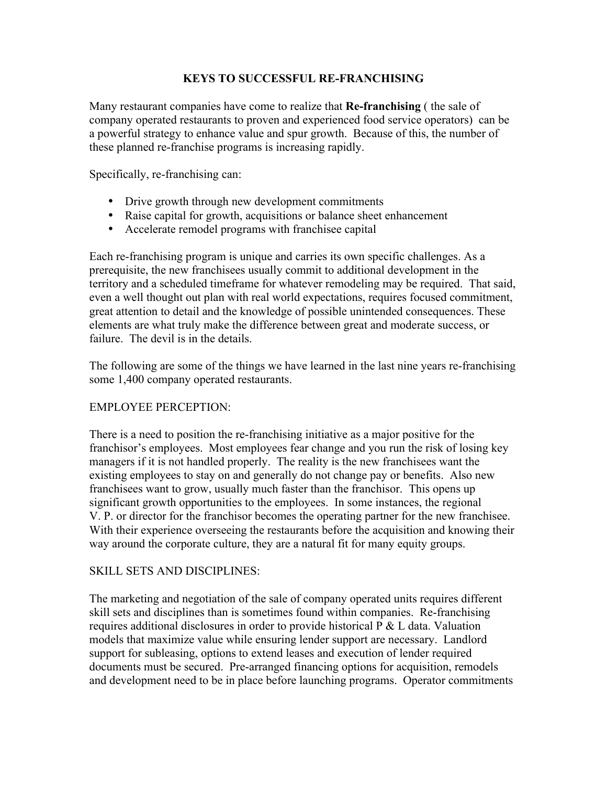#### **KEYS TO SUCCESSFUL RE-FRANCHISING**

Many restaurant companies have come to realize that **Re-franchising** ( the sale of company operated restaurants to proven and experienced food service operators) can be a powerful strategy to enhance value and spur growth. Because of this, the number of these planned re-franchise programs is increasing rapidly.

Specifically, re-franchising can:

- Drive growth through new development commitments
- Raise capital for growth, acquisitions or balance sheet enhancement
- Accelerate remodel programs with franchisee capital

Each re-franchising program is unique and carries its own specific challenges. As a prerequisite, the new franchisees usually commit to additional development in the territory and a scheduled timeframe for whatever remodeling may be required. That said, even a well thought out plan with real world expectations, requires focused commitment, great attention to detail and the knowledge of possible unintended consequences. These elements are what truly make the difference between great and moderate success, or failure. The devil is in the details.

The following are some of the things we have learned in the last nine years re-franchising some 1,400 company operated restaurants.

#### EMPLOYEE PERCEPTION:

There is a need to position the re-franchising initiative as a major positive for the franchisor's employees. Most employees fear change and you run the risk of losing key managers if it is not handled properly. The reality is the new franchisees want the existing employees to stay on and generally do not change pay or benefits. Also new franchisees want to grow, usually much faster than the franchisor. This opens up significant growth opportunities to the employees. In some instances, the regional V. P. or director for the franchisor becomes the operating partner for the new franchisee. With their experience overseeing the restaurants before the acquisition and knowing their way around the corporate culture, they are a natural fit for many equity groups.

#### SKILL SETS AND DISCIPLINES:

The marketing and negotiation of the sale of company operated units requires different skill sets and disciplines than is sometimes found within companies. Re-franchising requires additional disclosures in order to provide historical P & L data. Valuation models that maximize value while ensuring lender support are necessary. Landlord support for subleasing, options to extend leases and execution of lender required documents must be secured. Pre-arranged financing options for acquisition, remodels and development need to be in place before launching programs. Operator commitments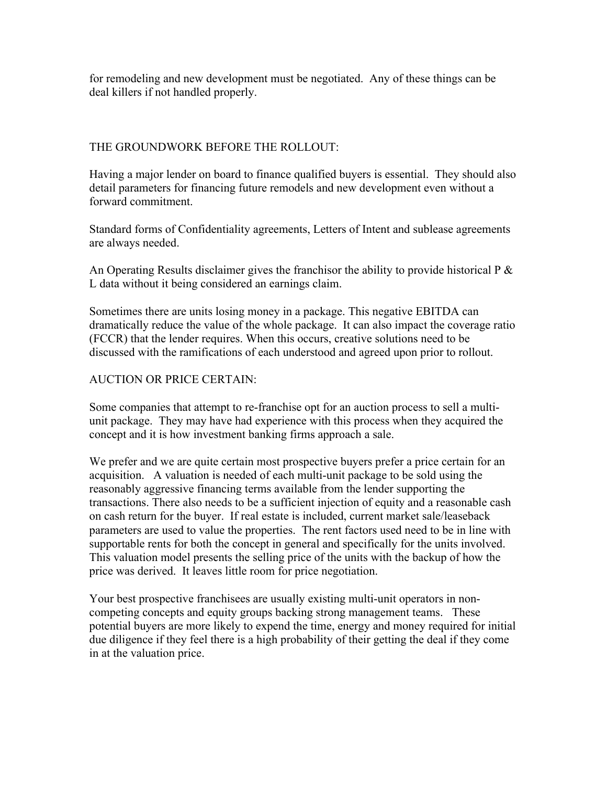for remodeling and new development must be negotiated. Any of these things can be deal killers if not handled properly.

#### THE GROUNDWORK BEFORE THE ROLLOUT:

Having a major lender on board to finance qualified buyers is essential. They should also detail parameters for financing future remodels and new development even without a forward commitment.

Standard forms of Confidentiality agreements, Letters of Intent and sublease agreements are always needed.

An Operating Results disclaimer gives the franchisor the ability to provide historical  $P \&$ L data without it being considered an earnings claim.

Sometimes there are units losing money in a package. This negative EBITDA can dramatically reduce the value of the whole package. It can also impact the coverage ratio (FCCR) that the lender requires. When this occurs, creative solutions need to be discussed with the ramifications of each understood and agreed upon prior to rollout.

#### AUCTION OR PRICE CERTAIN:

Some companies that attempt to re-franchise opt for an auction process to sell a multiunit package. They may have had experience with this process when they acquired the concept and it is how investment banking firms approach a sale.

We prefer and we are quite certain most prospective buyers prefer a price certain for an acquisition. A valuation is needed of each multi-unit package to be sold using the reasonably aggressive financing terms available from the lender supporting the transactions. There also needs to be a sufficient injection of equity and a reasonable cash on cash return for the buyer. If real estate is included, current market sale/leaseback parameters are used to value the properties. The rent factors used need to be in line with supportable rents for both the concept in general and specifically for the units involved. This valuation model presents the selling price of the units with the backup of how the price was derived. It leaves little room for price negotiation.

Your best prospective franchisees are usually existing multi-unit operators in noncompeting concepts and equity groups backing strong management teams. These potential buyers are more likely to expend the time, energy and money required for initial due diligence if they feel there is a high probability of their getting the deal if they come in at the valuation price.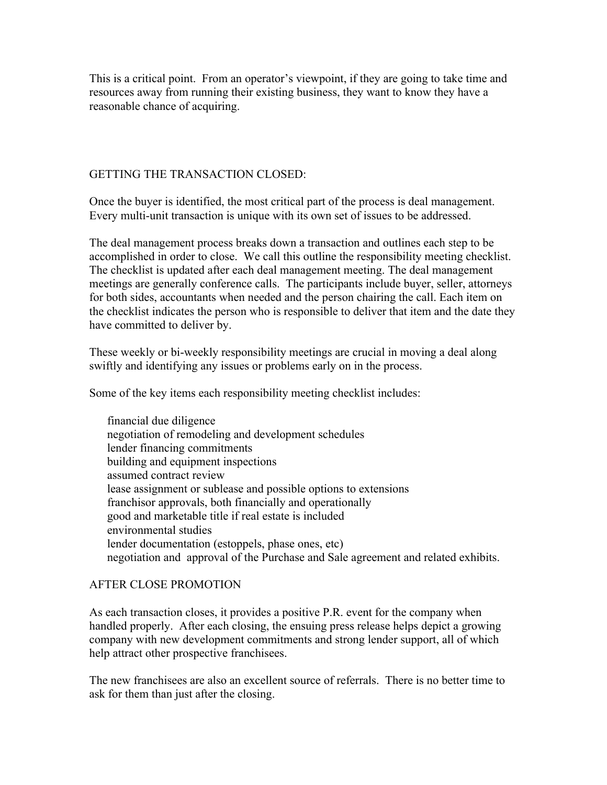This is a critical point. From an operator's viewpoint, if they are going to take time and resources away from running their existing business, they want to know they have a reasonable chance of acquiring.

#### GETTING THE TRANSACTION CLOSED:

Once the buyer is identified, the most critical part of the process is deal management. Every multi-unit transaction is unique with its own set of issues to be addressed.

The deal management process breaks down a transaction and outlines each step to be accomplished in order to close. We call this outline the responsibility meeting checklist. The checklist is updated after each deal management meeting. The deal management meetings are generally conference calls. The participants include buyer, seller, attorneys for both sides, accountants when needed and the person chairing the call. Each item on the checklist indicates the person who is responsible to deliver that item and the date they have committed to deliver by.

These weekly or bi-weekly responsibility meetings are crucial in moving a deal along swiftly and identifying any issues or problems early on in the process.

Some of the key items each responsibility meeting checklist includes:

financial due diligence negotiation of remodeling and development schedules lender financing commitments building and equipment inspections assumed contract review lease assignment or sublease and possible options to extensions franchisor approvals, both financially and operationally good and marketable title if real estate is included environmental studies lender documentation (estoppels, phase ones, etc) negotiation and approval of the Purchase and Sale agreement and related exhibits.

#### AFTER CLOSE PROMOTION

As each transaction closes, it provides a positive P.R. event for the company when handled properly. After each closing, the ensuing press release helps depict a growing company with new development commitments and strong lender support, all of which help attract other prospective franchisees.

The new franchisees are also an excellent source of referrals. There is no better time to ask for them than just after the closing.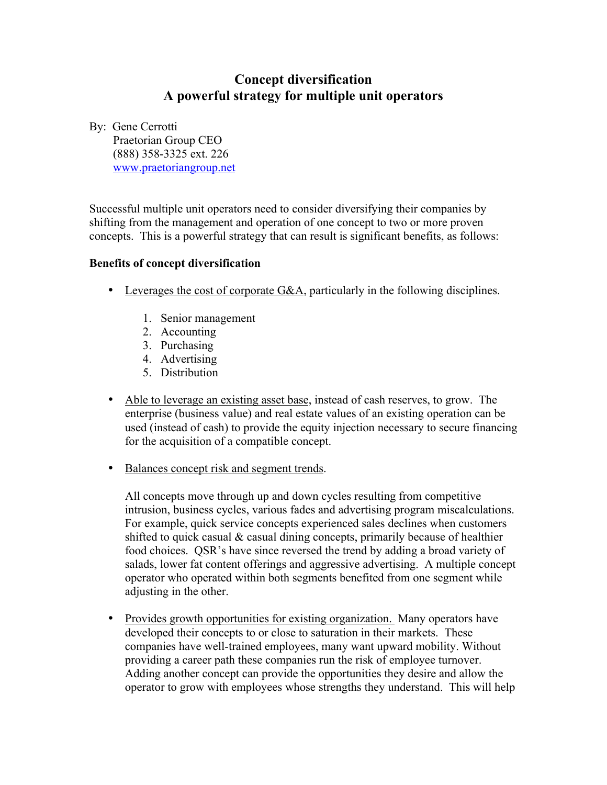#### **Concept diversification A powerful strategy for multiple unit operators**

By: Gene Cerrotti

 Praetorian Group CEO (888) 358-3325 ext. 226 www.praetoriangroup.net

Successful multiple unit operators need to consider diversifying their companies by shifting from the management and operation of one concept to two or more proven concepts. This is a powerful strategy that can result is significant benefits, as follows:

#### **Benefits of concept diversification**

- Leverages the cost of corporate G&A, particularly in the following disciplines.
	- 1. Senior management
	- 2. Accounting
	- 3. Purchasing
	- 4. Advertising
	- 5. Distribution
- Able to leverage an existing asset base, instead of cash reserves, to grow. The enterprise (business value) and real estate values of an existing operation can be used (instead of cash) to provide the equity injection necessary to secure financing for the acquisition of a compatible concept.
- Balances concept risk and segment trends.

All concepts move through up and down cycles resulting from competitive intrusion, business cycles, various fades and advertising program miscalculations. For example, quick service concepts experienced sales declines when customers shifted to quick casual & casual dining concepts, primarily because of healthier food choices. QSR's have since reversed the trend by adding a broad variety of salads, lower fat content offerings and aggressive advertising. A multiple concept operator who operated within both segments benefited from one segment while adjusting in the other.

• Provides growth opportunities for existing organization. Many operators have developed their concepts to or close to saturation in their markets. These companies have well-trained employees, many want upward mobility. Without providing a career path these companies run the risk of employee turnover. Adding another concept can provide the opportunities they desire and allow the operator to grow with employees whose strengths they understand. This will help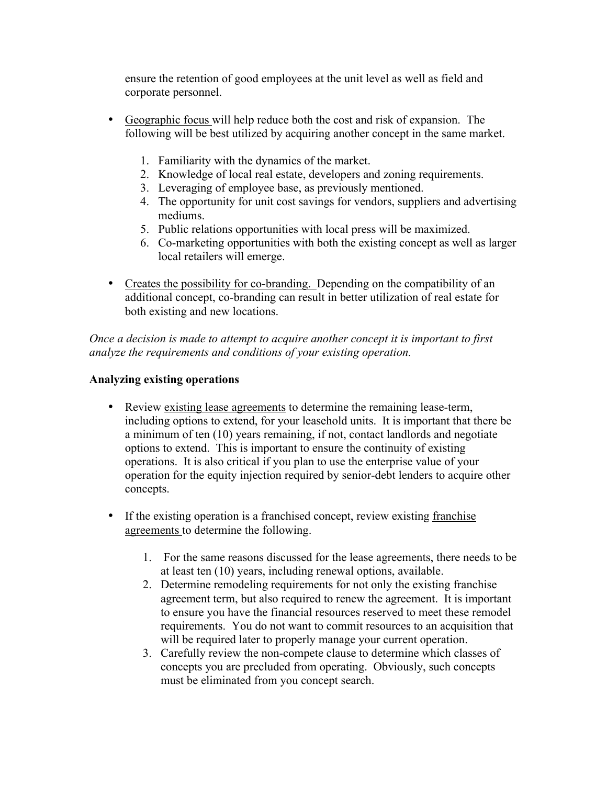ensure the retention of good employees at the unit level as well as field and corporate personnel.

- Geographic focus will help reduce both the cost and risk of expansion. The following will be best utilized by acquiring another concept in the same market.
	- 1. Familiarity with the dynamics of the market.
	- 2. Knowledge of local real estate, developers and zoning requirements.
	- 3. Leveraging of employee base, as previously mentioned.
	- 4. The opportunity for unit cost savings for vendors, suppliers and advertising mediums.
	- 5. Public relations opportunities with local press will be maximized.
	- 6. Co-marketing opportunities with both the existing concept as well as larger local retailers will emerge.
- Creates the possibility for co-branding. Depending on the compatibility of an additional concept, co-branding can result in better utilization of real estate for both existing and new locations.

*Once a decision is made to attempt to acquire another concept it is important to first analyze the requirements and conditions of your existing operation.*

#### **Analyzing existing operations**

- Review existing lease agreements to determine the remaining lease-term, including options to extend, for your leasehold units. It is important that there be a minimum of ten (10) years remaining, if not, contact landlords and negotiate options to extend. This is important to ensure the continuity of existing operations. It is also critical if you plan to use the enterprise value of your operation for the equity injection required by senior-debt lenders to acquire other concepts.
- If the existing operation is a franchised concept, review existing franchise agreements to determine the following.
	- 1. For the same reasons discussed for the lease agreements, there needs to be at least ten (10) years, including renewal options, available.
	- 2. Determine remodeling requirements for not only the existing franchise agreement term, but also required to renew the agreement. It is important to ensure you have the financial resources reserved to meet these remodel requirements. You do not want to commit resources to an acquisition that will be required later to properly manage your current operation.
	- 3. Carefully review the non-compete clause to determine which classes of concepts you are precluded from operating. Obviously, such concepts must be eliminated from you concept search.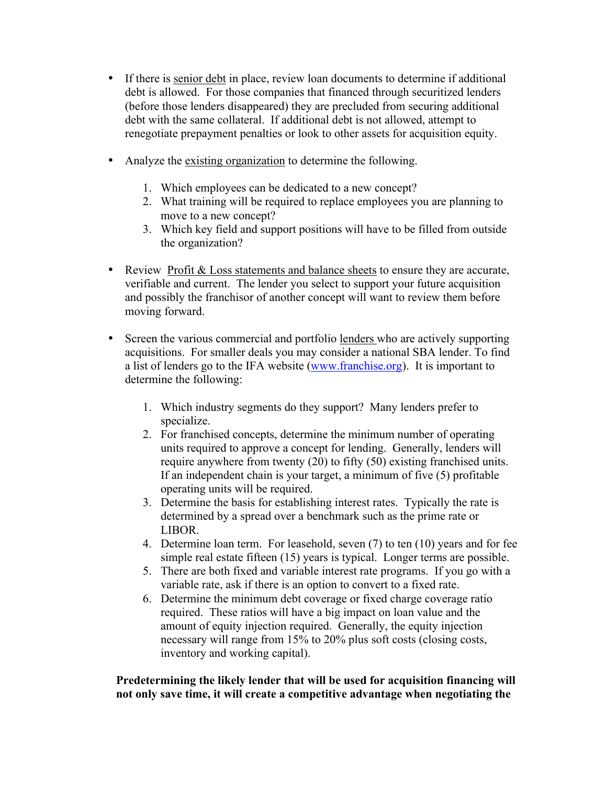- If there is senior debt in place, review loan documents to determine if additional debt is allowed. For those companies that financed through securitized lenders (before those lenders disappeared) they are precluded from securing additional debt with the same collateral. If additional debt is not allowed, attempt to renegotiate prepayment penalties or look to other assets for acquisition equity.
- Analyze the existing organization to determine the following.
	- 1. Which employees can be dedicated to a new concept?
	- 2. What training will be required to replace employees you are planning to move to a new concept?
	- 3. Which key field and support positions will have to be filled from outside the organization?
- Review Profit & Loss statements and balance sheets to ensure they are accurate, verifiable and current. The lender you select to support your future acquisition and possibly the franchisor of another concept will want to review them before moving forward.
- Screen the various commercial and portfolio lenders who are actively supporting acquisitions. For smaller deals you may consider a national SBA lender. To find a list of lenders go to the IFA website (www.franchise.org). It is important to determine the following:
	- 1. Which industry segments do they support? Many lenders prefer to specialize.
	- 2. For franchised concepts, determine the minimum number of operating units required to approve a concept for lending. Generally, lenders will require anywhere from twenty (20) to fifty (50) existing franchised units. If an independent chain is your target, a minimum of five (5) profitable operating units will be required.
	- 3. Determine the basis for establishing interest rates. Typically the rate is determined by a spread over a benchmark such as the prime rate or LIBOR.
	- 4. Determine loan term. For leasehold, seven (7) to ten (10) years and for fee simple real estate fifteen (15) years is typical. Longer terms are possible.
	- 5. There are both fixed and variable interest rate programs. If you go with a variable rate, ask if there is an option to convert to a fixed rate.
	- 6. Determine the minimum debt coverage or fixed charge coverage ratio required. These ratios will have a big impact on loan value and the amount of equity injection required. Generally, the equity injection necessary will range from 15% to 20% plus soft costs (closing costs, inventory and working capital).

 **Predetermining the likely lender that will be used for acquisition financing will not only save time, it will create a competitive advantage when negotiating the**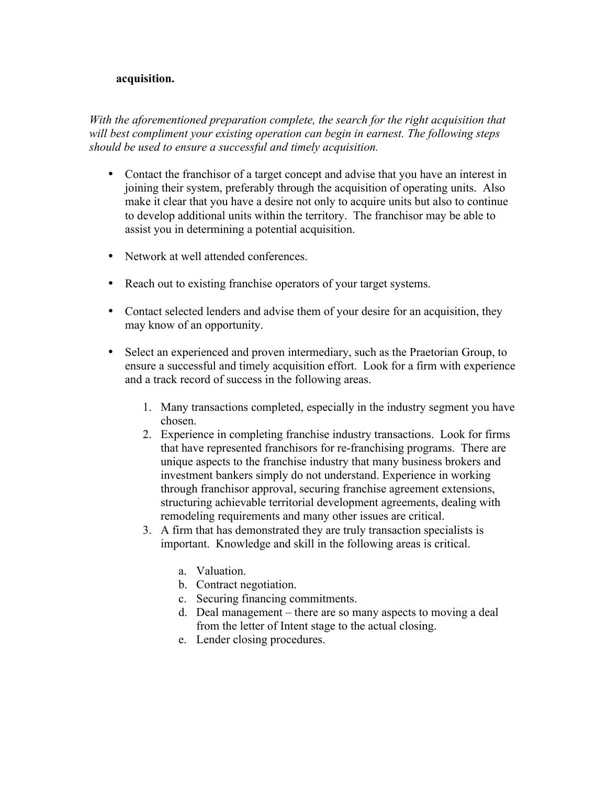#### **acquisition.**

*With the aforementioned preparation complete, the search for the right acquisition that will best compliment your existing operation can begin in earnest. The following steps should be used to ensure a successful and timely acquisition.*

- Contact the franchisor of a target concept and advise that you have an interest in joining their system, preferably through the acquisition of operating units. Also make it clear that you have a desire not only to acquire units but also to continue to develop additional units within the territory. The franchisor may be able to assist you in determining a potential acquisition.
- Network at well attended conferences.
- Reach out to existing franchise operators of your target systems.
- Contact selected lenders and advise them of your desire for an acquisition, they may know of an opportunity.
- Select an experienced and proven intermediary, such as the Praetorian Group, to ensure a successful and timely acquisition effort. Look for a firm with experience and a track record of success in the following areas.
	- 1. Many transactions completed, especially in the industry segment you have chosen.
	- 2. Experience in completing franchise industry transactions. Look for firms that have represented franchisors for re-franchising programs. There are unique aspects to the franchise industry that many business brokers and investment bankers simply do not understand. Experience in working through franchisor approval, securing franchise agreement extensions, structuring achievable territorial development agreements, dealing with remodeling requirements and many other issues are critical.
	- 3. A firm that has demonstrated they are truly transaction specialists is important. Knowledge and skill in the following areas is critical.
		- a. Valuation.
		- b. Contract negotiation.
		- c. Securing financing commitments.
		- d. Deal management there are so many aspects to moving a deal from the letter of Intent stage to the actual closing.
		- e. Lender closing procedures.